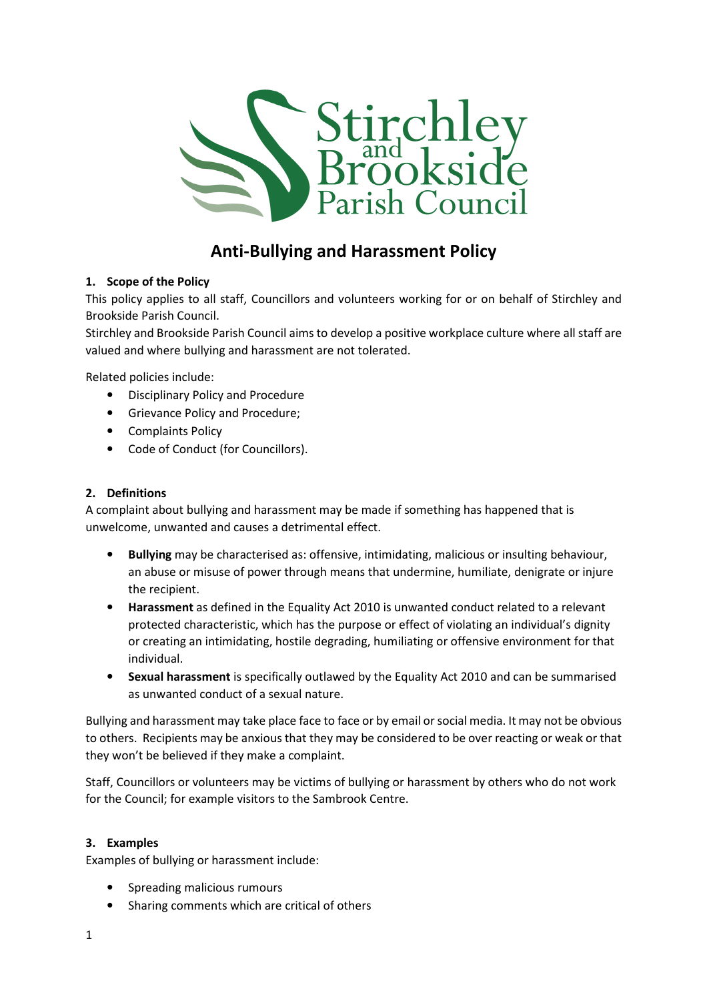

# Anti-Bullying and Harassment Policy

## 1. Scope of the Policy

This policy applies to all staff, Councillors and volunteers working for or on behalf of Stirchley and Brookside Parish Council.

Stirchley and Brookside Parish Council aims to develop a positive workplace culture where all staff are valued and where bullying and harassment are not tolerated.

Related policies include:

- Disciplinary Policy and Procedure
- Grievance Policy and Procedure;
- Complaints Policy
- Code of Conduct (for Councillors).

## 2. Definitions

A complaint about bullying and harassment may be made if something has happened that is unwelcome, unwanted and causes a detrimental effect.

- Bullying may be characterised as: offensive, intimidating, malicious or insulting behaviour, an abuse or misuse of power through means that undermine, humiliate, denigrate or injure the recipient.
- Harassment as defined in the Equality Act 2010 is unwanted conduct related to a relevant protected characteristic, which has the purpose or effect of violating an individual's dignity or creating an intimidating, hostile degrading, humiliating or offensive environment for that individual.
- Sexual harassment is specifically outlawed by the Equality Act 2010 and can be summarised as unwanted conduct of a sexual nature.

Bullying and harassment may take place face to face or by email or social media. It may not be obvious to others. Recipients may be anxious that they may be considered to be over reacting or weak or that they won't be believed if they make a complaint.

Staff, Councillors or volunteers may be victims of bullying or harassment by others who do not work for the Council; for example visitors to the Sambrook Centre.

## 3. Examples

Examples of bullying or harassment include:

- Spreading malicious rumours
- Sharing comments which are critical of others